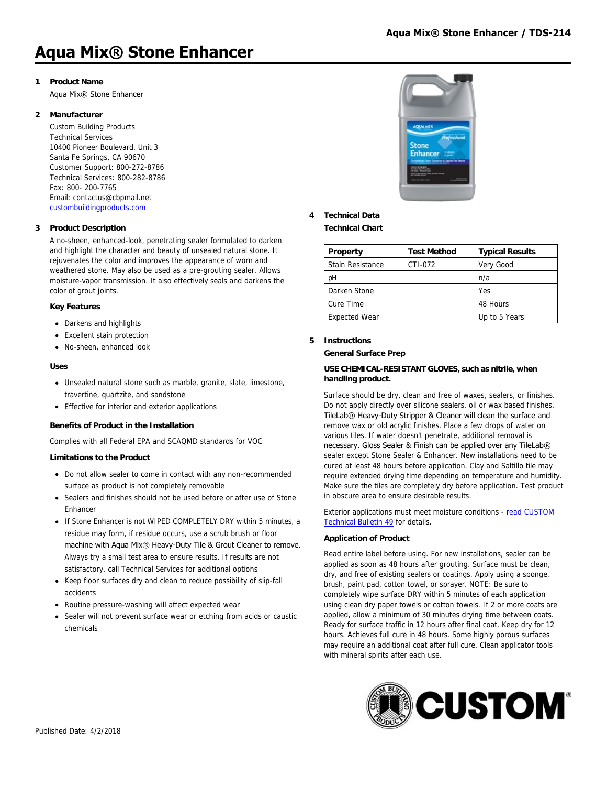# **Aqua Mix® Stone Enhancer**

# **1 Product Name**

Aqua Mix® Stone Enhancer

#### **2 Manufacturer**

Custom Building Products Technical Services 10400 Pioneer Boulevard, Unit 3 Santa Fe Springs, CA 90670 Customer Support: 800-272-8786 Technical Services: 800-282-8786 Fax: 800- 200-7765 Email: contactus@cbpmail.net [custombuildingproducts.com](http://www.custombuildingproducts.com)

# **3 Product Description**

A no-sheen, enhanced-look, penetrating sealer formulated to darken and highlight the character and beauty of unsealed natural stone. It rejuvenates the color and improves the appearance of worn and weathered stone. May also be used as a pre-grouting sealer. Allows moisture-vapor transmission. It also effectively seals and darkens the color of grout joints.

#### **Key Features**

- Darkens and highlights
- Excellent stain protection
- No-sheen, enhanced look

#### **Uses**

- Unsealed natural stone such as marble, granite, slate, limestone, travertine, quartzite, and sandstone
- Effective for interior and exterior applications

#### **Benefits of Product in the Installation**

Complies with all Federal EPA and SCAQMD standards for VOC

#### **Limitations to the Product**

- Do not allow sealer to come in contact with any non-recommended surface as product is not completely removable
- Sealers and finishes should not be used before or after use of Stone **Enhancer**
- If Stone Enhancer is not WIPED COMPLETELY DRY within 5 minutes, a residue may form, if residue occurs, use a scrub brush or floor machine with Aqua Mix® Heavy-Duty Tile & Grout Cleaner to remove. Always try a small test area to ensure results. If results are not satisfactory, call Technical Services for additional options
- Keep floor surfaces dry and clean to reduce possibility of slip-fall accidents
- Routine pressure-washing will affect expected wear
- Sealer will not prevent surface wear or etching from acids or caustic chemicals



# **4 Technical Data**

**Technical Chart**

| Property             | <b>Test Method</b> | <b>Typical Results</b> |
|----------------------|--------------------|------------------------|
| Stain Resistance     | CTI-072            | Very Good              |
| рH                   |                    | n/a                    |
| Darken Stone         |                    | Yes                    |
| Cure Time            |                    | 48 Hours               |
| <b>Expected Wear</b> |                    | Up to 5 Years          |

#### **5 Instructions**

#### **General Surface Prep**

#### **USE CHEMICAL-RESISTANT GLOVES, such as nitrile, when handling product.**

Surface should be dry, clean and free of waxes, sealers, or finishes. Do not apply directly over silicone sealers, oil or wax based finishes. TileLab® Heavy-Duty Stripper & Cleaner will clean the surface and remove wax or old acrylic finishes. Place a few drops of water on various tiles. If water doesn't penetrate, additional removal is necessary. Gloss Sealer & Finish can be applied over any TileLab® sealer except Stone Sealer & Enhancer. New installations need to be cured at least 48 hours before application. Clay and Saltillo tile may require extended drying time depending on temperature and humidity. Make sure the tiles are completely dry before application. Test product in obscure area to ensure desirable results.

[Exterior applications must meet moisture conditions - read CUSTOM](https://www.custombuildingproducts.com:443/media/2742092/tb49_sealer_application.pdf) Technical Bulletin 49 for details.

#### **Application of Product**

Read entire label before using. For new installations, sealer can be applied as soon as 48 hours after grouting. Surface must be clean, dry, and free of existing sealers or coatings. Apply using a sponge, brush, paint pad, cotton towel, or sprayer. NOTE: Be sure to completely wipe surface DRY within 5 minutes of each application using clean dry paper towels or cotton towels. If 2 or more coats are applied, allow a minimum of 30 minutes drying time between coats. Ready for surface traffic in 12 hours after final coat. Keep dry for 12 hours. Achieves full cure in 48 hours. Some highly porous surfaces may require an additional coat after full cure. Clean applicator tools with mineral spirits after each use.

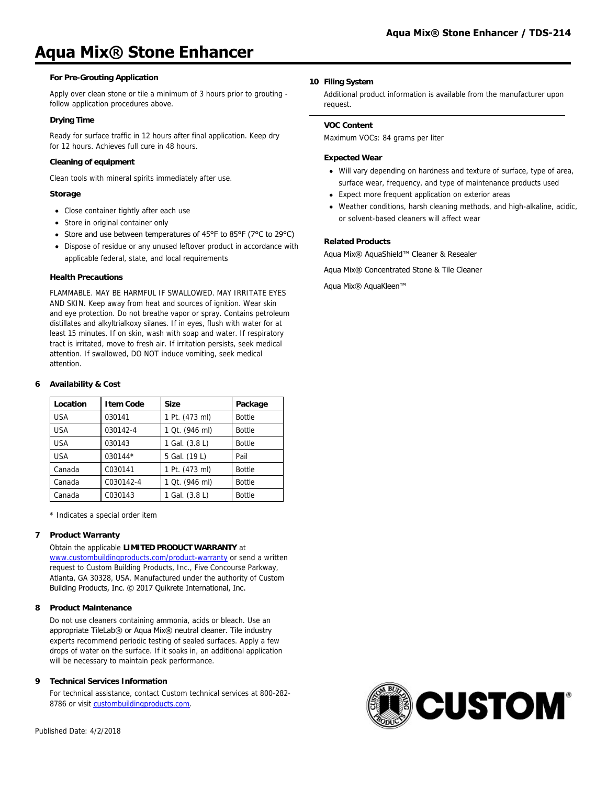# **Aqua Mix® Stone Enhancer**

## **For Pre-Grouting Application**

Apply over clean stone or tile a minimum of 3 hours prior to grouting follow application procedures above.

## **Drying Time**

Ready for surface traffic in 12 hours after final application. Keep dry for 12 hours. Achieves full cure in 48 hours.

# **Cleaning of equipment**

Clean tools with mineral spirits immediately after use.

### **Storage**

- Close container tightly after each use
- Store in original container only
- Store and use between temperatures of 45°F to 85°F (7°C to 29°C)
- Dispose of residue or any unused leftover product in accordance with applicable federal, state, and local requirements

## **Health Precautions**

FLAMMABLE. MAY BE HARMFUL IF SWALLOWED. MAY IRRITATE EYES AND SKIN. Keep away from heat and sources of ignition. Wear skin and eye protection. Do not breathe vapor or spray. Contains petroleum distillates and alkyltrialkoxy silanes. If in eyes, flush with water for at least 15 minutes. If on skin, wash with soap and water. If respiratory tract is irritated, move to fresh air. If irritation persists, seek medical attention. If swallowed, DO NOT induce vomiting, seek medical attention.

# **6 Availability & Cost**

| Location   | <b>Item Code</b> | <b>Size</b>    | Package       |
|------------|------------------|----------------|---------------|
| <b>USA</b> | 030141           | 1 Pt. (473 ml) | <b>Bottle</b> |
| <b>USA</b> | 030142-4         | 1 Qt. (946 ml) | <b>Bottle</b> |
| <b>USA</b> | 030143           | 1 Gal. (3.8 L) | <b>Bottle</b> |
| <b>USA</b> | 030144*          | 5 Gal. (19 L)  | Pail          |
| Canada     | C030141          | 1 Pt. (473 ml) | <b>Bottle</b> |
| Canada     | C030142-4        | 1 Qt. (946 ml) | <b>Bottle</b> |
| Canada     | C030143          | 1 Gal. (3.8 L) | <b>Bottle</b> |

\* Indicates a special order item

## **7 Product Warranty**

Obtain the applicable **LIMITED PRODUCT WARRANTY** at [www.custombuildingproducts.com/product-warranty](http://www.custombuildingproducts.com/product-warranty) or send a written request to Custom Building Products, Inc., Five Concourse Parkway, Atlanta, GA 30328, USA. Manufactured under the authority of Custom Building Products, Inc. © 2017 Quikrete International, Inc.

## **8 Product Maintenance**

Do not use cleaners containing ammonia, acids or bleach. Use an appropriate TileLab® or Aqua Mix® neutral cleaner. Tile industry experts recommend periodic testing of sealed surfaces. Apply a few drops of water on the surface. If it soaks in, an additional application will be necessary to maintain peak performance.

## **9 Technical Services Information**

For technical assistance, contact Custom technical services at 800-282 8786 or visit [custombuildingproducts.com](https://www.custombuildingproducts.com:443/support/contact-us.aspx).

## **10 Filing System**

Additional product information is available from the manufacturer upon request.

#### **VOC Content**

Maximum VOCs: 84 grams per liter

#### **Expected Wear**

- Will vary depending on hardness and texture of surface, type of area, surface wear, frequency, and type of maintenance products used
- Expect more frequent application on exterior areas
- Weather conditions, harsh cleaning methods, and high-alkaline, acidic, or solvent-based cleaners will affect wear

# **Related Products**

Aqua Mix® AquaShield™ Cleaner & Resealer

Aqua Mix® Concentrated Stone & Tile Cleaner

Aqua Mix® AquaKleen™